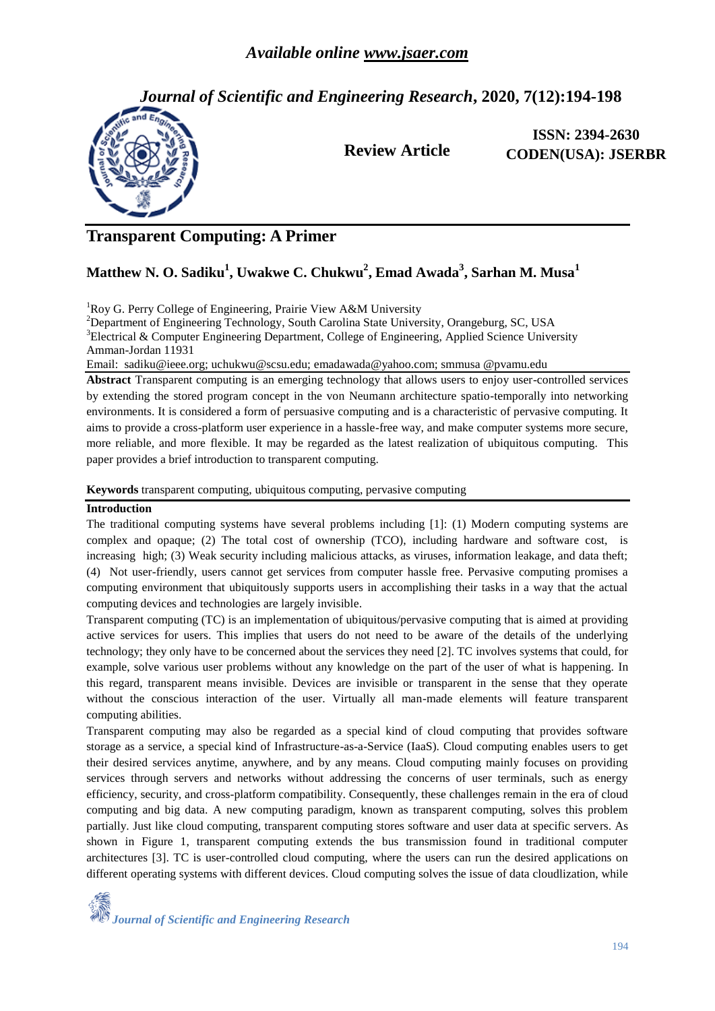*Journal of Scientific and Engineering Research***, 2020, 7(12):194-198**



**Review Article**

**ISSN: 2394-2630 CODEN(USA): JSERBR**

# **Transparent Computing: A Primer**

## **Matthew N. O. Sadiku<sup>1</sup> , Uwakwe C. Chukwu<sup>2</sup> , Emad Awada<sup>3</sup> , Sarhan M. Musa<sup>1</sup>**

<sup>1</sup>Roy G. Perry College of Engineering, Prairie View A&M University

<sup>2</sup>Department of Engineering Technology, South Carolina State University, Orangeburg, SC, USA  $3E$ lectrical & Computer Engineering Department, College of Engineering, Applied Science University Amman-Jordan 11931

Email: sadiku@ieee.org; uchukwu@scsu.edu; emadawada@yahoo.com; smmusa @pvamu.edu

**Abstract** Transparent computing is an emerging technology that allows users to enjoy user-controlled services by extending the stored program concept in the von Neumann architecture spatio-temporally into networking environments. It is considered a form of persuasive computing and is a characteristic of pervasive computing. It aims to provide a cross-platform user experience in a hassle-free way, and make computer systems more secure, more reliable, and more flexible. It may be regarded as the latest realization of ubiquitous computing. This paper provides a brief introduction to transparent computing.

**Keywords** transparent computing, ubiquitous computing, pervasive computing

#### **Introduction**

The traditional computing systems have several problems including [1]: (1) Modern computing systems are complex and opaque; (2) The total cost of ownership (TCO), including hardware and software cost, is increasing high; (3) Weak security including malicious attacks, as viruses, information leakage, and data theft; (4) Not user-friendly, users cannot get services from computer hassle free. Pervasive computing promises a computing environment that ubiquitously supports users in accomplishing their tasks in a way that the actual computing devices and technologies are largely invisible.

Transparent computing (TC) is an implementation of ubiquitous[/pervasive](https://internetofthingsagenda.techtarget.com/definition/pervasive-computing-ubiquitous-computing) computing that is aimed at providing active services for users. This implies that users do not need to be aware of the details of the underlying technology; they only have to be concerned about the services they need [2]. TC involves systems that could, for example, solve various user problems without any knowledge on the part of the user of what is happening. In this regard, transparent means invisible. Devices are invisible or transparent in the sense that they operate without the conscious interaction of the user. Virtually all man-made elements will feature transparent computing abilities.

Transparent computing may also be regarded as a special kind of cloud computing that provides software storage as a service, a special kind of Infrastructure-as-a-Service (IaaS). Cloud computing enables users to get their desired services anytime, anywhere, and by any means. Cloud computing mainly focuses on providing services through servers and networks without addressing the concerns of user terminals, such as energy efficiency, security, and cross-platform compatibility. Consequently, these challenges remain in the era of cloud computing and big data. A new computing paradigm, known as transparent computing, solves this problem partially. Just like cloud computing, transparent computing stores software and user data at specific servers. As shown in Figure 1, transparent computing extends the bus transmission found in traditional computer architectures [3]. TC is user-controlled cloud computing, where the users can run the desired applications on different operating systems with different devices. Cloud computing solves the issue of data cloudlization, while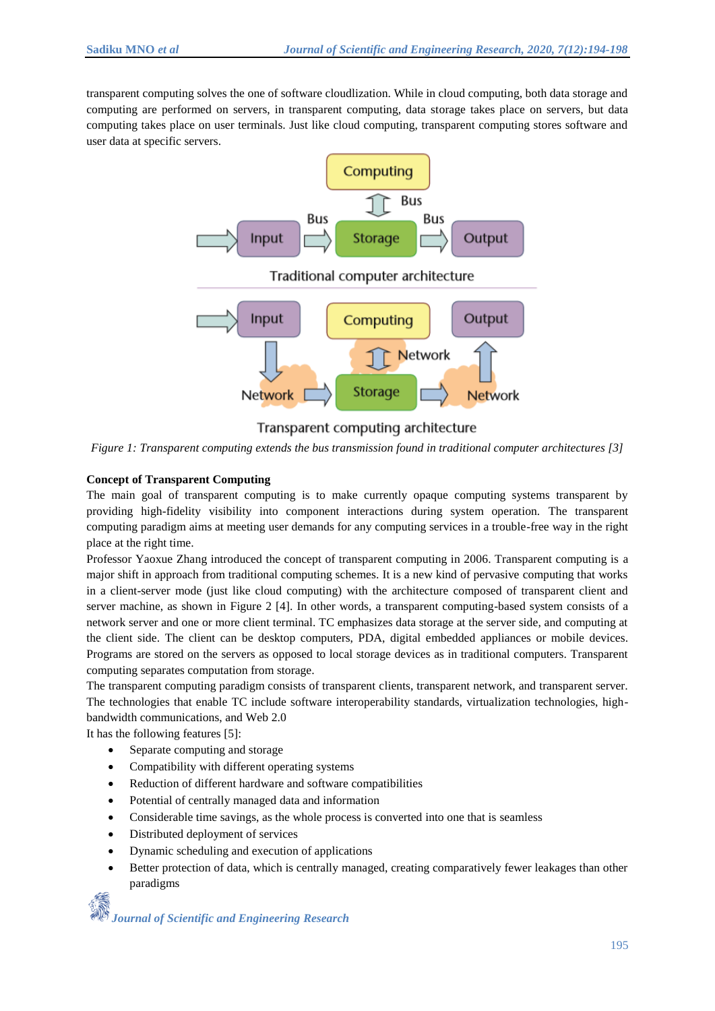transparent computing solves the one of software cloudlization. While in cloud computing, both data storage and computing are performed on servers, in transparent computing, data storage takes place on servers, but data computing takes place on user terminals. Just like cloud computing, transparent computing stores software and user data at specific servers.



### Transparent computing architecture

*Figure 1: Transparent computing extends the bus transmission found in traditional computer architectures [3]*

#### **Concept of Transparent Computing**

The main goal of transparent computing is to make currently opaque computing systems transparent by providing high-fidelity visibility into component interactions during system operation. The transparent computing paradigm aims at meeting user demands for any computing services in a trouble-free way in the right place at the right time.

Professor Yaoxue Zhang introduced the concept of transparent computing in 2006. Transparent computing is a major shift in approach from traditional computing schemes. It is a new kind of pervasive computing that works in a client-server mode (just like cloud computing) with the architecture composed of transparent client and server machine, as shown in Figure 2 [4]. In other words, a transparent computing-based system consists of a network server and one or more client terminal. TC emphasizes data storage at the server side, and computing at the client side. The client can be desktop computers, PDA, digital embedded appliances or mobile devices. Programs are stored on the servers as opposed to local storage devices as in traditional computers. Transparent computing separates computation from storage.

The transparent computing paradigm consists of transparent clients, transparent network, and transparent server. The technologies that enable TC include software interoperability standards, virtualization technologies, highbandwidth communications, and Web 2.0

It has the following features [5]:

- Separate computing and storage
- Compatibility with different operating systems
- Reduction of different hardware and software compatibilities
- Potential of centrally managed data and information
- Considerable time savings, as the whole process is converted into one that is seamless
- Distributed deployment of services
- Dynamic scheduling and execution of applications
- Better protection of data, which is centrally managed, creating comparatively fewer leakages than other paradigms

*Journal of Scientific and Engineering Research*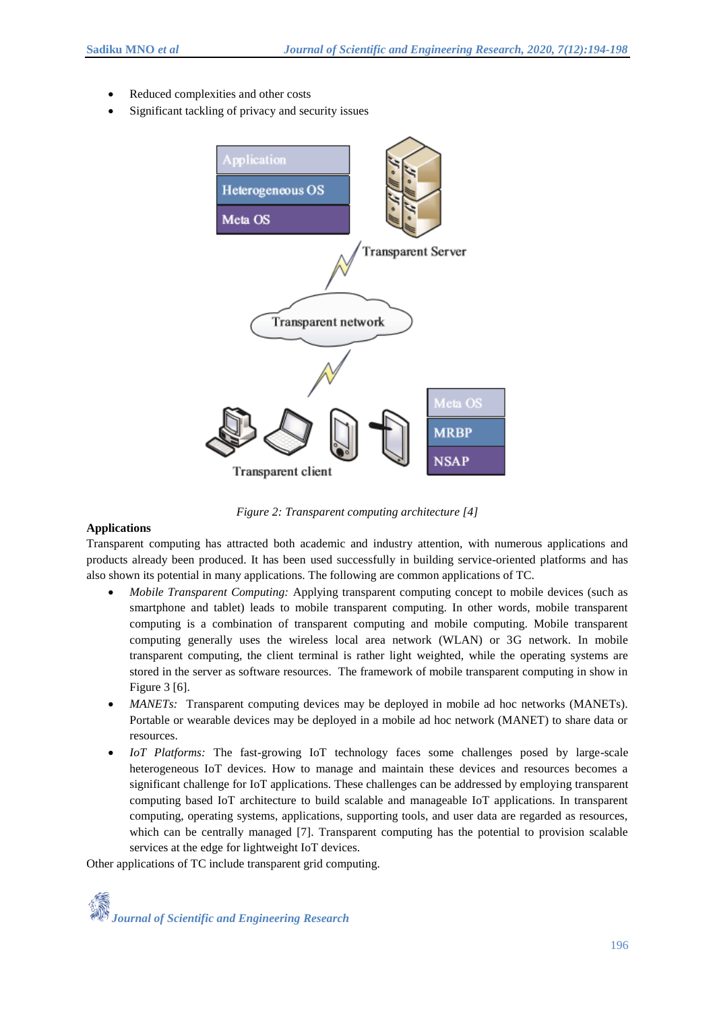- Reduced complexities and other costs
- Significant tackling of privacy and security issues



*Figure 2: Transparent computing architecture [4]*

#### **Applications**

Transparent computing has attracted both academic and industry attention, with numerous applications and products already been produced. It has been used successfully in building service-oriented platforms and has also shown its potential in many applications. The following are common applications of TC.

- *Mobile Transparent Computing:* Applying transparent computing concept to mobile devices (such as smartphone and tablet) leads to mobile transparent computing. In other words, mobile transparent computing is a combination of transparent computing and mobile computing. Mobile transparent computing generally uses the wireless local area network (WLAN) or 3G network. In mobile transparent computing, the client terminal is rather light weighted, while the operating systems are stored in the server as software resources. The framework of mobile transparent computing in show in Figure 3 [6].
- *MANETs:* Transparent computing devices may be deployed in mobile ad hoc networks (MANETs). Portable or wearable devices may be deployed in a mobile ad hoc network (MANET) to share data or resources.
- *IoT Platforms:* The fast-growing IoT technology faces some challenges posed by large-scale heterogeneous IoT devices. How to manage and maintain these devices and resources becomes a significant challenge for IoT applications. These challenges can be addressed by employing transparent computing based IoT architecture to build scalable and manageable IoT applications. In transparent computing, operating systems, applications, supporting tools, and user data are regarded as resources, which can be centrally managed [7]. Transparent computing has the potential to provision scalable services at the edge for lightweight IoT devices.

Other applications of TC include transparent grid computing.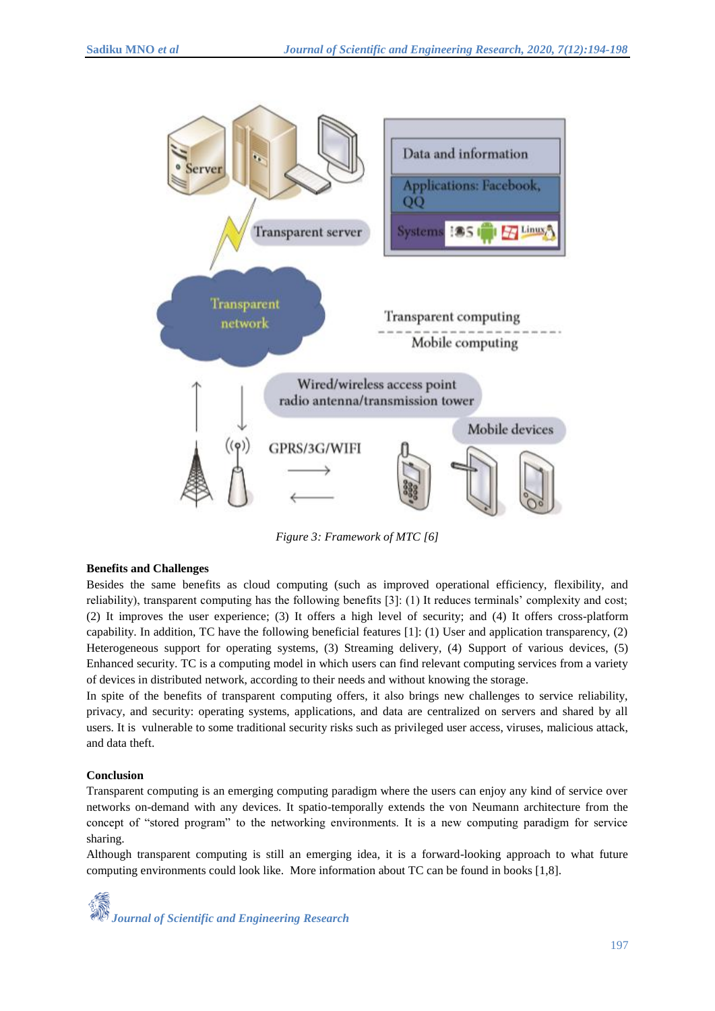

*Figure 3: Framework of MTC [6]*

#### **Benefits and Challenges**

Besides the same benefits as cloud computing (such as improved operational efficiency, flexibility, and reliability), transparent computing has the following benefits [3]: (1) It reduces terminals' complexity and cost; (2) It improves the user experience; (3) It offers a high level of security; and (4) It offers cross-platform capability. In addition, TC have the following beneficial features [1]: (1) User and application transparency, (2) Heterogeneous support for operating systems, (3) Streaming delivery, (4) Support of various devices, (5) Enhanced security. TC is a computing model in which users can find relevant computing services from a variety of devices in distributed network, according to their needs and without knowing the storage.

In spite of the benefits of transparent computing offers, it also brings new challenges to service reliability, privacy, and security: operating systems, applications, and data are centralized on servers and shared by all users. It is vulnerable to some traditional security risks such as privileged user access, viruses, malicious attack, and data theft.

#### **Conclusion**

Transparent computing is an emerging computing paradigm where the users can enjoy any kind of service over networks on-demand with any devices. It spatio-temporally extends the von Neumann architecture from the concept of "stored program" to the networking environments. It is a new computing paradigm for service sharing.

Although transparent computing is still an emerging idea, it is a forward-looking approach to what future computing environments could look like. More information about TC can be found in books [1,8].